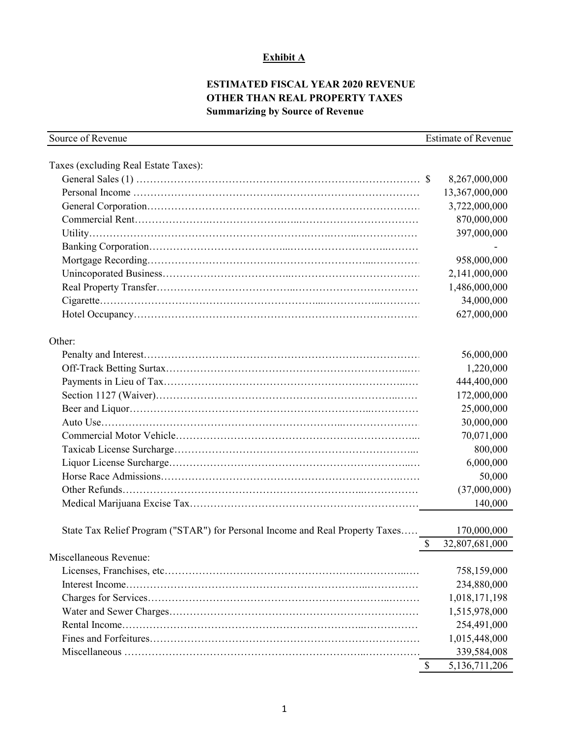## **Exhibit A**

# **ESTIMATED FISCAL YEAR 2020 REVENUE OTHER THAN REAL PROPERTY TAXES Summarizing by Source of Revenue**

| Source of Revenue                                                             | <b>Estimate of Revenue</b> |                |
|-------------------------------------------------------------------------------|----------------------------|----------------|
| Taxes (excluding Real Estate Taxes):                                          |                            |                |
|                                                                               |                            | 8,267,000,000  |
|                                                                               |                            | 13,367,000,000 |
|                                                                               |                            | 3,722,000,000  |
|                                                                               |                            | 870,000,000    |
|                                                                               |                            | 397,000,000    |
|                                                                               |                            |                |
|                                                                               |                            | 958,000,000    |
|                                                                               |                            | 2,141,000,000  |
|                                                                               |                            | 1,486,000,000  |
|                                                                               |                            | 34,000,000     |
|                                                                               |                            | 627,000,000    |
|                                                                               |                            |                |
| Other:                                                                        |                            |                |
|                                                                               |                            | 56,000,000     |
|                                                                               |                            | 1,220,000      |
|                                                                               |                            | 444,400,000    |
|                                                                               |                            | 172,000,000    |
|                                                                               |                            | 25,000,000     |
|                                                                               |                            | 30,000,000     |
|                                                                               |                            | 70,071,000     |
|                                                                               |                            | 800,000        |
|                                                                               |                            | 6,000,000      |
|                                                                               |                            | 50,000         |
|                                                                               |                            | (37,000,000)   |
|                                                                               |                            | 140,000        |
|                                                                               |                            |                |
| State Tax Relief Program ("STAR") for Personal Income and Real Property Taxes |                            | 170,000,000    |
|                                                                               | \$                         | 32,807,681,000 |
| Miscellaneous Revenue:                                                        |                            |                |
|                                                                               |                            | 758,159,000    |
|                                                                               |                            | 234,880,000    |
|                                                                               |                            | 1,018,171,198  |
|                                                                               |                            | 1,515,978,000  |
|                                                                               |                            | 254,491,000    |
|                                                                               |                            | 1,015,448,000  |
|                                                                               |                            | 339,584,008    |
|                                                                               | \$                         | 5,136,711,206  |